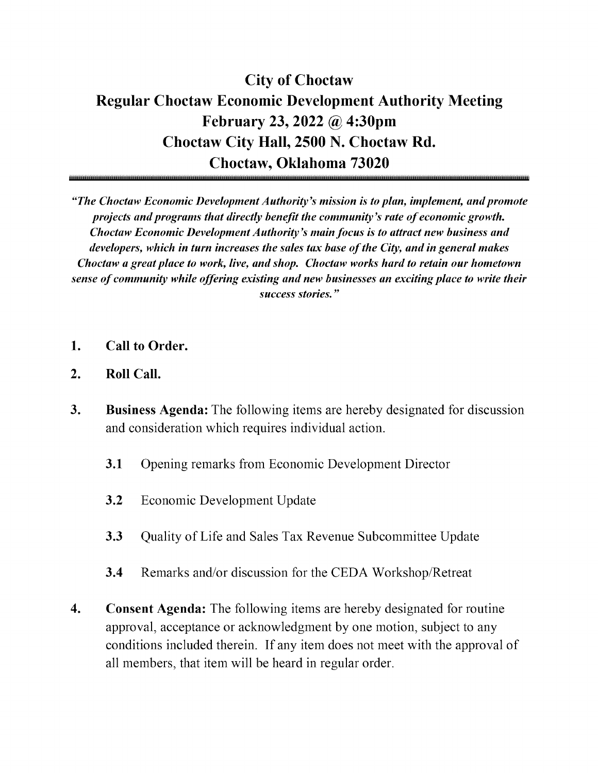# City of Choctaw Regular Choctaw Economic Development Authority Meeting February 23, 2022 @ 4:30pm Choctaw City Hall, 2500 N. Choctaw Rd. Choctaw, Oklahoma 73020

"The Choctaw Economic Development Authority's mission is to plan, implement, and promote projects and programs that directly benefit the community's rate of economic growth. Choctaw Economic Development Authority's main focus is to attract new business and developers, which in turn increases the sales tax base of the City, and in general makes Choctaw a great place to work, live, and shop. Choctaw works hard to retain our hometown sense of community while offering existing and new businesses an exciting place to write their success stories."

- 1. Call to Order.
- 2. Roll Call.
- 3. Business Agenda: The following items are hereby designated for discussion and consideration which requires individual action.
	- 3.1 Opening remarks from Economic Development Director
	- 3.2 Economic Development Update
	- 3.3 Quality of Life and Sales Tax Revenue Subcommittee Update
	- 3.4 Remarks and/or discussion for the CEDA Workshop/Retreat
- 4. Consent Agenda: The following items are hereby designated for routine approval, acceptance or acknowledgment by one motion, subject to any conditions included therein. If any item does not meet with the approval of all members, that item will be heard in regular order.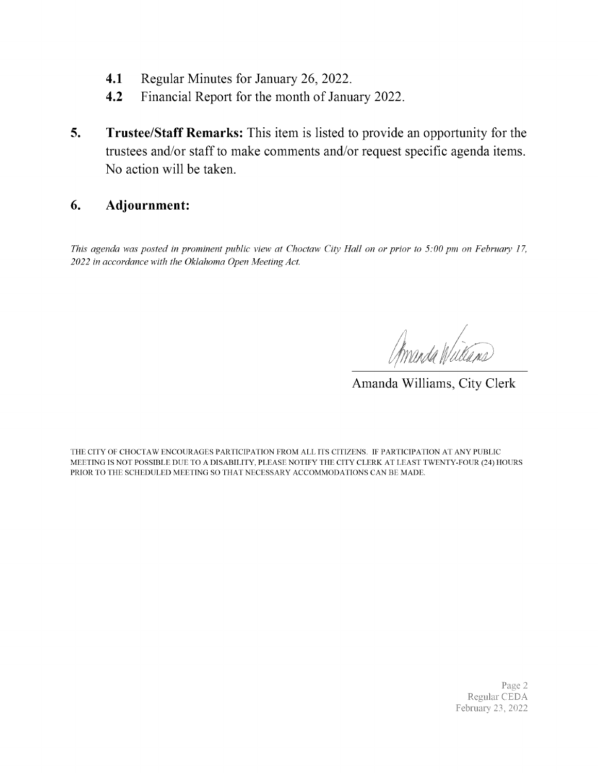- 4.1 Regular Minutes for January 26, 2022.
- 4.2 Financial Report for the month of January 2022.
- 5. Trustee/Staff Remarks: This item is listed to provide an opportunity for the trustees and/or staff to make comments and/or request specific agenda items. No action will be taken.

#### 6. Adjournment:

This agenda was posted in prominent public view at Choctaw City Hall on or prior to S: 00 pm on February 17, 2022 in accordance with the Oklahoma Open Meeting Act.

Amanda Wullans

Amanda Williams, City Clerk

THE CITY OF CHOCTAW ENCOURAGES PARTICIPATION FROM ALL ITS CITIZENS. IF PARTICIPATION AT ANY PUBLIC MEETING IS NOT POSSIBLE DUE TO A DISABILITY, PLEASE NOTIFY THE CITY CLERK AT LEAST TWENTY-FOUR( 24) HOURS PRIOR TO THE SCHEDULED MEETING SO THAT NECESSARY ACCOMMODATIONS CAN BE MADE.

> Page 2 Regular CEDA February 23, 2022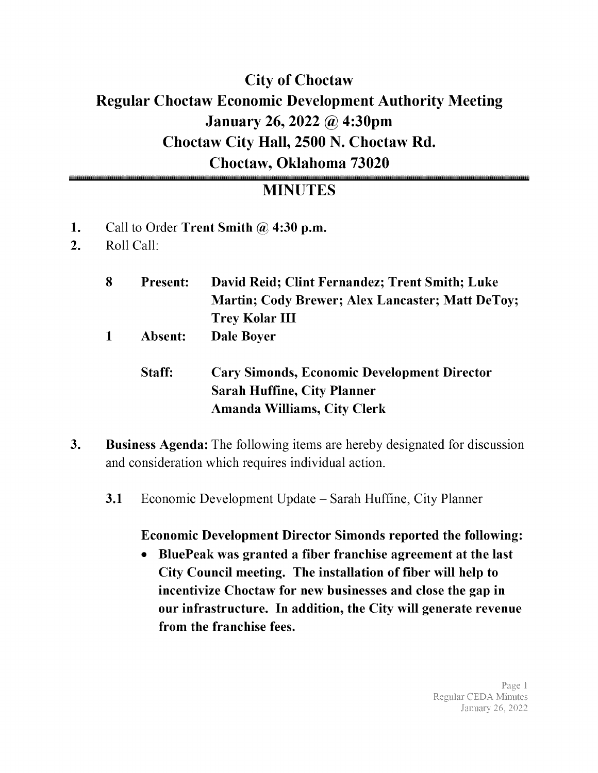# City of Choctaw Regular Choctaw Economic Development Authority Meeting January 26, 2022 @ 4:30pm Choctaw City Hall, 2500 N. Choctaw Rd. Choctaw, Oklahoma 73020

# **MINUTES**

- 1. Call to Order Trent Smith  $\omega$  4:30 p.m.
- 2. Roll Call:

| 8           | <b>Present:</b> | David Reid; Clint Fernandez; Trent Smith; Luke           |  |  |
|-------------|-----------------|----------------------------------------------------------|--|--|
|             |                 | <b>Martin</b> ; Cody Brewer; Alex Lancaster; Matt DeToy; |  |  |
|             |                 | <b>Trey Kolar III</b>                                    |  |  |
| $\mathbf 1$ | Absent:         | <b>Dale Bover</b>                                        |  |  |
|             |                 |                                                          |  |  |

## Staff: Cary Simonds, Economic Development Director Sarah Huffine, City Planner Amanda Williams, City Clerk

- 3. Business Agenda: The following items are hereby designated for discussion and consideration which requires individual action.
	- 3.1 Economic Development Update Sarah Huffine, City Planner

Economic Development Director Simonds reported the following:

B1uePeak was granted a fiber franchise agreement at the last  $\bullet$ City Council meeting. The installation of fiber will help to incentivize Choctaw for new businesses and close the gap in our infrastructure. In addition, the City will generate revenue from the franchise fees.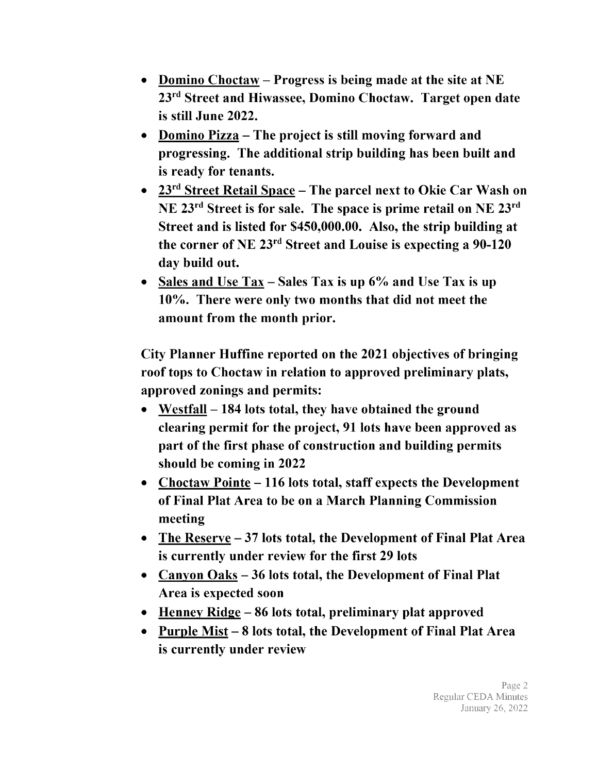- Domino Choctaw Progress is being made at the site at NE 23rd Street and Hiwassee, Domino Choctaw. Target open date is still June 2022.
- Domino Pizza The project is still moving forward and progressing. The additional strip building has been built and is ready for tenants.
- 23<sup>rd</sup> Street Retail Space The parcel next to Okie Car Wash on NE 23rd Street is for sale. The space is prime retail on NE 23rd Street and is listed for \$450, 000. 00. Also, the strip building at the corner of NE  $23<sup>rd</sup>$  Street and Louise is expecting a 90-120 day build out.
- Sales and Use  $\text{Tax} \text{Sales} \text{ Tax}$  is up 6% and Use  $\text{Tax}$  is up 10%. There were only two months that did not meet the amount from the month prior.

City Planner Huffine reported on the 2021 objectives of bringing roof tops to Choctaw in relation to approved preliminary plats, approved zonings and permits:

- Westfall 184 lots total, they have obtained the ground clearing permit for the project, 91 lots have been approved as part of the first phase of construction and building permits should be coming in 2022
- Choctaw Pointe 116 lots total, staff expects the Development of Final Plat Area to be on a March Planning Commission meeting
- The Reserve 37 lots total, the Development of Final Plat Area is currently under review for the first 29 lots
- Canyon Oaks 36 lots total, the Development of Final Plat Area is expected soon
- Henney Ridge 86 lots total, preliminary plat approved
- Purple Mist 8 lots total, the Development of Final Plat Area is currently under review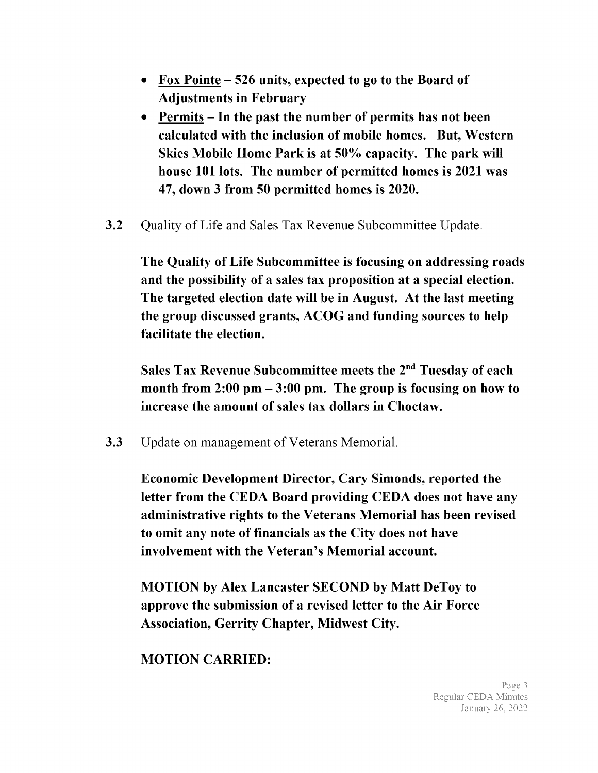- Fox Pointe <sup>526</sup> units, expected to go to the Board of Adjustments in February
- Permits In the past the number of permits has not been calculated with the inclusion of mobile homes. But, Western Skies Mobile Home Park is at 50% capacity. The park will house 101 lots. The number of permitted homes is 2021 was 47, down 3 from 50 permitted homes is 2020.
- **3.2** Quality of Life and Sales Tax Revenue Subcommittee Update.

The Quality of Life Subcommittee is focusing on addressing roads and the possibility of a sales tax proposition at a special election. The targeted election date will be in August. At the last meeting the group discussed grants, ACOG and funding sources to help facilitate the election.

Sales Tax Revenue Subcommittee meets the 2nd Tuesday of each month from  $2:00 \text{ pm} - 3:00 \text{ pm}$ . The group is focusing on how to increase the amount of sales tax dollars in Choctaw.

3.3 Update on management of Veterans Memorial.

Economic Development Director, Cary Simonds, reported the letter from the CEDA Board providing CEDA does not have any administrative rights to the Veterans Memorial has been revised to omit any note of financials as the City does not have involvement with the Veteran's Memorial account.

MOTION by Alex Lancaster SECOND by Matt DeToy to approve the submission of <sup>a</sup> revised letter to the Air Force Association, Gerrity Chapter, Midwest City.

## MOTION CARRIED: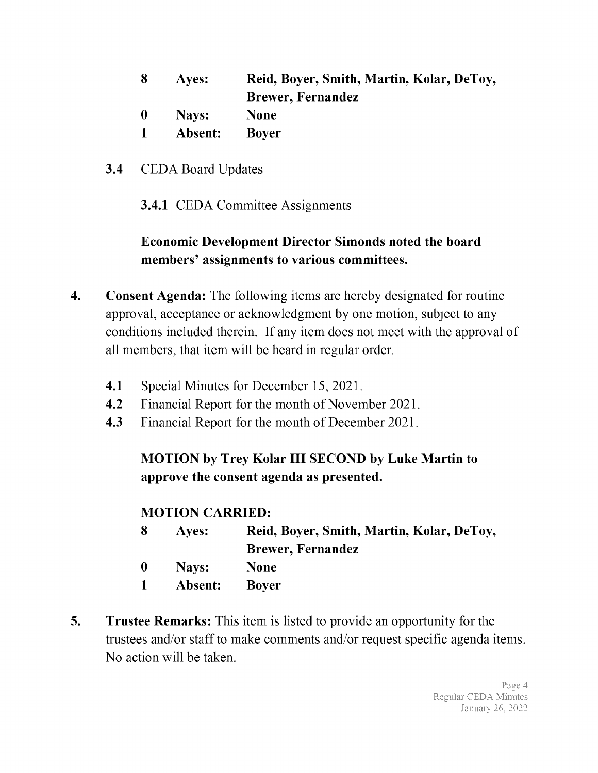| 8            | Ayes:   | Reid, Boyer, Smith, Martin, Kolar, DeToy, |  |  |
|--------------|---------|-------------------------------------------|--|--|
|              |         | <b>Brewer, Fernandez</b>                  |  |  |
| $\bf{0}$     | Nays:   | <b>None</b>                               |  |  |
| $\mathbf{1}$ | Absent: | <b>Boyer</b>                              |  |  |

3.4 CEDA Board Updates

3.4.1 CEDA Committee Assignments

### Economic Development Director Simonds noted the board members' assignments to various committees.

- 4. Consent Agenda: The following items are hereby designated for routine approval, acceptance or acknowledgment by one motion, subject to any conditions included therein. If any item does not meet with the approval of all members, that item will be heard in regular order.
	- 4.1 Special Minutes for December 15, 2021.
	- 4.2 Financial Report for the month of November 2021.
	- 4.3 Financial Report for the month of December 2021.

## MOTION by Trey Kolar III SECOND by Luke Martin to approve the consent agenda as presented.

#### MOTION CARRIED:

| 8        | Ayes:   | Reid, Boyer, Smith, Martin, Kolar, DeToy, |  |  |
|----------|---------|-------------------------------------------|--|--|
|          |         | <b>Brewer, Fernandez</b>                  |  |  |
| $\bf{0}$ | Nays:   | <b>None</b>                               |  |  |
| -1       | Absent: | <b>Bover</b>                              |  |  |

5. Trustee Remarks: This item is listed to provide an opportunity for the trustees and/or staff to make comments and/or request specific agenda items. No action will be taken.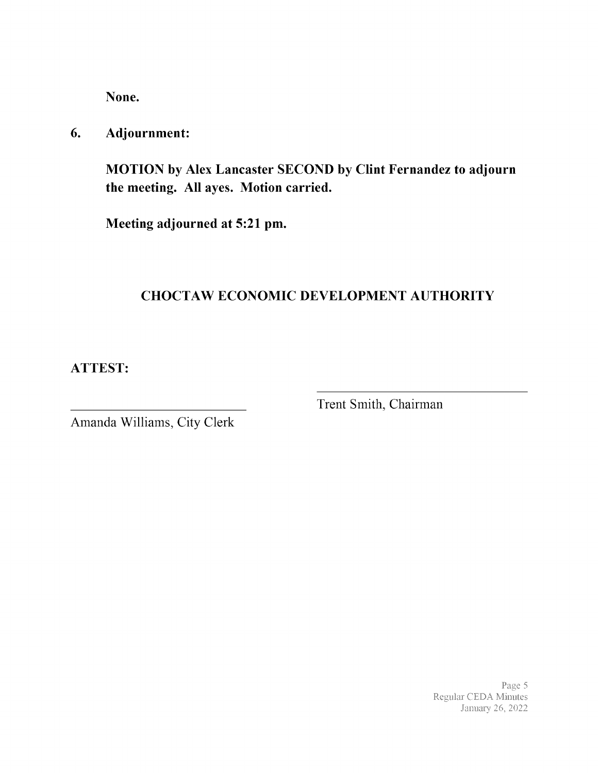None.

#### 6. Adjournment:

MOTION by Alex Lancaster SECOND by Clint Fernandez to adjourn the meeting. All ayes. Motion carried.

Meeting adjourned at 5:21 pm.

#### **CHOCTAW ECONOMIC DEVELOPMENT AUTHORITY**

**ATTEST:** 

Trent Smith, Chairman

Amanda Williams, City Clerk

Page 5 Regular CEDA Minutes January 26, 2022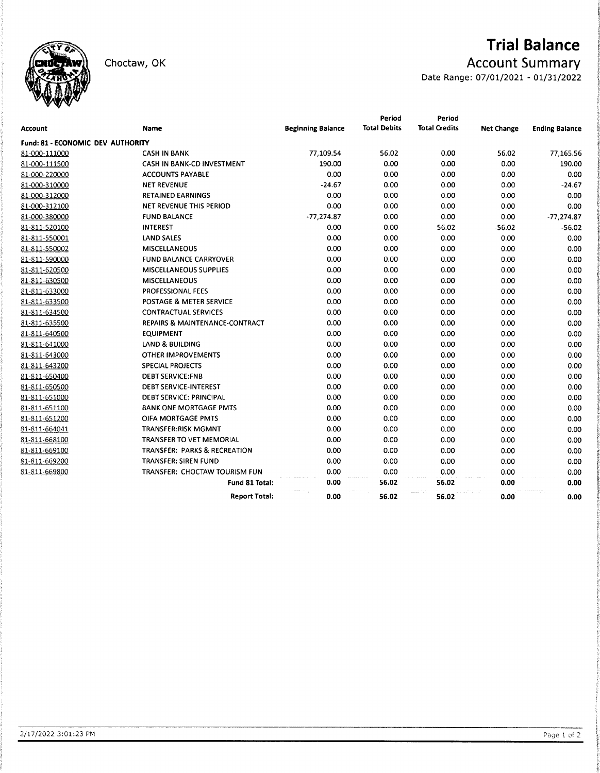

Choctaw, OK

# **Trial Balance**

# **Account Summary**

Date Range: 07/01/2021 - 01/31/2022

|                                          |                                 |                          | Period              | Period               |                   |                       |
|------------------------------------------|---------------------------------|--------------------------|---------------------|----------------------|-------------------|-----------------------|
| Account                                  | Name                            | <b>Beginning Balance</b> | <b>Total Debits</b> | <b>Total Credits</b> | <b>Net Change</b> | <b>Ending Balance</b> |
| <b>Fund: 81 - ECONOMIC DEV AUTHORITY</b> |                                 |                          |                     |                      |                   |                       |
| 81-000-111000                            | <b>CASH IN BANK</b>             | 77,109.54                | 56.02               | 0.00                 | 56.02             | 77,165.56             |
| 81-000-111500                            | CASH IN BANK-CD INVESTMENT      | 190.00                   | 0.00                | 0.00                 | 0.00              | 190.00                |
| 81-000-220000                            | <b>ACCOUNTS PAYABLE</b>         | 0.00                     | 0.00                | 0.00                 | 0.00              | 0.00                  |
| 81-000-310000                            | <b>NET REVENUE</b>              | $-24.67$                 | 0.00                | 0.00                 | 0.00              | $-24.67$              |
| 81-000-312000                            | <b>RETAINED EARNINGS</b>        | 0.00                     | 0.00                | 0.00                 | 0.00              | 0.00                  |
| 81-000-312100                            | NET REVENUE THIS PERIOD         | 0.00                     | 0.00                | 0.00                 | 0.00              | 0.00                  |
| 81-000-380000                            | <b>FUND BALANCE</b>             | $-77,274.87$             | 0.00                | 0.00                 | 0.00              | $-77,274.87$          |
| 81-811-520100                            | <b>INTEREST</b>                 | 0.00                     | 0.00                | 56.02                | $-56.02$          | $-56.02$              |
| 81-811-550001                            | <b>LAND SALES</b>               | 0.00                     | 0.00                | 0.00                 | 0.00              | 0.00                  |
| 81-811-550002                            | <b>MISCELLANEOUS</b>            | 0.00                     | 0.00                | 0.00                 | 0.00              | 0.00                  |
| 81-811-590000                            | <b>FUND BALANCE CARRYOVER</b>   | 0.00                     | 0.00                | 0.00                 | 0.00              | 0.00                  |
| 81-811-620500                            | <b>MISCELLANEOUS SUPPLIES</b>   | 0.00                     | 0.00                | 0.00                 | 0.00              | 0.00                  |
| 81-811-630500                            | <b>MISCELLANEOUS</b>            | 0.00                     | 0.00                | 0.00                 | 0.00              | 0.00                  |
| 81-811-633000                            | <b>PROFESSIONAL FEES</b>        | 0.00                     | 0.00                | 0.00                 | 0.00              | 0.00                  |
| 81-811-633500                            | POSTAGE & METER SERVICE         | 0.00                     | 0.00                | 0.00                 | 0.00              | 0.00                  |
| 81-811-634500                            | <b>CONTRACTUAL SERVICES</b>     | 0.00                     | 0.00                | 0.00                 | 0.00              | 0.00                  |
| 81-811-635500                            | REPAIRS & MAINTENANCE-CONTRACT  | 0.00                     | 0.00                | 0.00                 | 0.00              | 0.00                  |
| 81-811-640500                            | <b>EQUIPMENT</b>                | 0.00                     | 0.00                | 0.00                 | 0.00              | 0.00                  |
| 81-811-641000                            | <b>LAND &amp; BUILDING</b>      | 0.00                     | 0.00                | 0.00                 | 0.00              | 0.00                  |
| 81-811-643000                            | OTHER IMPROVEMENTS              | 0.00                     | 0.00                | 0.00                 | 0.00              | 0.00                  |
| 81-811-643200                            | <b>SPECIAL PROJECTS</b>         | 0.00                     | 0.00                | 0.00                 | 0.00              | 0.00                  |
| 81-811-650400                            | <b>DEBT SERVICE:FNB</b>         | 0.00                     | 0.00                | 0.00                 | 0.00              | 0.00                  |
| 81-811-650500                            | DEBT SERVICE-INTEREST           | 0.00                     | 0.00                | 0.00                 | 0.00              | 0.00                  |
| 81-811-651000                            | <b>DEBT SERVICE: PRINCIPAL</b>  | 0.00                     | 0.00                | 0.00                 | 0.00              | 0.00                  |
| 81-811-651100                            | <b>BANK ONE MORTGAGE PMTS</b>   | 0.00                     | 0.00                | 0.00                 | 0.00              | 0.00                  |
| 81-811-651200                            | OIFA MORTGAGE PMTS              | 0.00                     | 0.00                | 0.00                 | 0.00              | 0.00                  |
| 81-811-664041                            | TRANSFER:RISK MGMNT             | 0.00                     | 0.00                | 0.00                 | 0.00              | 0.00                  |
| 81-811-668100                            | <b>TRANSFER TO VET MEMORIAL</b> | 0.00                     | 0.00                | 0.00                 | 0.00              | 0.00                  |
| 81-811-669100                            | TRANSFER: PARKS & RECREATION    | 0.00                     | 0.00                | 0.00                 | 0.00              | 0.00                  |
| 81-811-669200                            | TRANSFER: SIREN FUND            | 0.00                     | 0.00                | 0.00                 | 0.00              | 0.00                  |
| 81-811-669800                            | TRANSFER: CHOCTAW TOURISM FUN   | 0.00                     | 0.00                | 0.00                 | 0.00              | 0.00                  |
|                                          | Fund 81 Total:                  | 0.00                     | 56.02               | 56.02                | 0.00              | 0.00                  |
|                                          | <b>Report Total:</b>            | 0.00                     | 56.02               | 56.02                | 0.00              | 0.00                  |